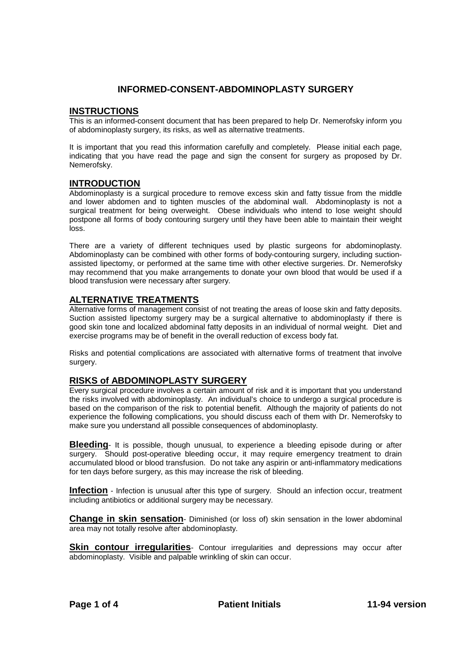# **INFORMED-CONSENT-ABDOMINOPLASTY SURGERY**

#### **INSTRUCTIONS**

This is an informed-consent document that has been prepared to help Dr. Nemerofsky inform you of abdominoplasty surgery, its risks, as well as alternative treatments.

It is important that you read this information carefully and completely. Please initial each page, indicating that you have read the page and sign the consent for surgery as proposed by Dr. Nemerofsky.

## **INTRODUCTION**

Abdominoplasty is a surgical procedure to remove excess skin and fatty tissue from the middle and lower abdomen and to tighten muscles of the abdominal wall. Abdominoplasty is not a surgical treatment for being overweight. Obese individuals who intend to lose weight should postpone all forms of body contouring surgery until they have been able to maintain their weight loss.

There are a variety of different techniques used by plastic surgeons for abdominoplasty. Abdominoplasty can be combined with other forms of body-contouring surgery, including suctionassisted lipectomy, or performed at the same time with other elective surgeries. Dr. Nemerofsky may recommend that you make arrangements to donate your own blood that would be used if a blood transfusion were necessary after surgery.

## **ALTERNATIVE TREATMENTS**

Alternative forms of management consist of not treating the areas of loose skin and fatty deposits. Suction assisted lipectomy surgery may be a surgical alternative to abdominoplasty if there is good skin tone and localized abdominal fatty deposits in an individual of normal weight. Diet and exercise programs may be of benefit in the overall reduction of excess body fat.

Risks and potential complications are associated with alternative forms of treatment that involve surgery.

## **RISKS of ABDOMINOPLASTY SURGERY**

Every surgical procedure involves a certain amount of risk and it is important that you understand the risks involved with abdominoplasty. An individual's choice to undergo a surgical procedure is based on the comparison of the risk to potential benefit. Although the majority of patients do not experience the following complications, you should discuss each of them with Dr. Nemerofsky to make sure you understand all possible consequences of abdominoplasty.

**Bleeding**- It is possible, though unusual, to experience a bleeding episode during or after surgery. Should post-operative bleeding occur, it may require emergency treatment to drain accumulated blood or blood transfusion. Do not take any aspirin or anti-inflammatory medications for ten days before surgery, as this may increase the risk of bleeding.

**Infection** - Infection is unusual after this type of surgery. Should an infection occur, treatment including antibiotics or additional surgery may be necessary.

**Change in skin sensation**- Diminished (or loss of) skin sensation in the lower abdominal area may not totally resolve after abdominoplasty.

**Skin contour irregularities**- Contour irregularities and depressions may occur after abdominoplasty. Visible and palpable wrinkling of skin can occur.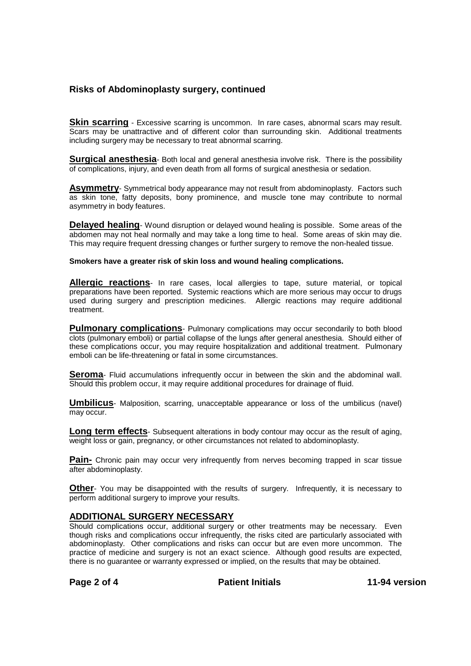# **Risks of Abdominoplasty surgery, continued**

**Skin scarring** - Excessive scarring is uncommon. In rare cases, abnormal scars may result. Scars may be unattractive and of different color than surrounding skin. Additional treatments including surgery may be necessary to treat abnormal scarring.

**Surgical anesthesia**- Both local and general anesthesia involve risk. There is the possibility of complications, injury, and even death from all forms of surgical anesthesia or sedation.

**Asymmetry**- Symmetrical body appearance may not result from abdominoplasty. Factors such as skin tone, fatty deposits, bony prominence, and muscle tone may contribute to normal asymmetry in body features.

**Delayed healing**- Wound disruption or delayed wound healing is possible. Some areas of the abdomen may not heal normally and may take a long time to heal. Some areas of skin may die. This may require frequent dressing changes or further surgery to remove the non-healed tissue.

**Smokers have a greater risk of skin loss and wound healing complications.**

**Allergic reactions**- In rare cases, local allergies to tape, suture material, or topical preparations have been reported. Systemic reactions which are more serious may occur to drugs used during surgery and prescription medicines. Allergic reactions may require additional treatment.

**Pulmonary complications**- Pulmonary complications may occur secondarily to both blood clots (pulmonary emboli) or partial collapse of the lungs after general anesthesia. Should either of these complications occur, you may require hospitalization and additional treatment. Pulmonary emboli can be life-threatening or fatal in some circumstances.

**Seroma**- Fluid accumulations infrequently occur in between the skin and the abdominal wall. Should this problem occur, it may require additional procedures for drainage of fluid.

**Umbilicus**- Malposition, scarring, unacceptable appearance or loss of the umbilicus (navel) may occur.

**Long term effects**- Subsequent alterations in body contour may occur as the result of aging, weight loss or gain, pregnancy, or other circumstances not related to abdominoplasty.

**Pain-** Chronic pain may occur very infrequently from nerves becoming trapped in scar tissue after abdominoplasty.

**Other**- You may be disappointed with the results of surgery. Infrequently, it is necessary to perform additional surgery to improve your results.

#### **ADDITIONAL SURGERY NECESSARY**

Should complications occur, additional surgery or other treatments may be necessary. Even though risks and complications occur infrequently, the risks cited are particularly associated with abdominoplasty. Other complications and risks can occur but are even more uncommon. The practice of medicine and surgery is not an exact science. Although good results are expected, there is no guarantee or warranty expressed or implied, on the results that may be obtained.

**Page 2 of 4 Patient Initials 11-94 version**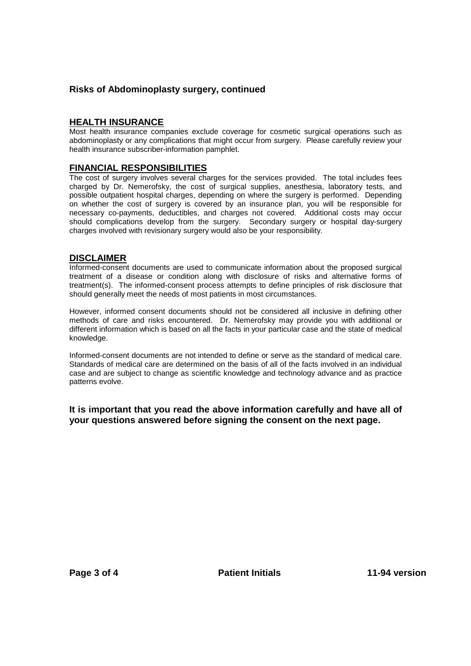# **Risks of Abdominoplasty surgery, continued**

## **HEALTH INSURANCE**

Most health insurance companies exclude coverage for cosmetic surgical operations such as abdominoplasty or any complications that might occur from surgery. Please carefully review your health insurance subscriber-information pamphlet.

## **FINANCIAL RESPONSIBILITIES**

The cost of surgery involves several charges for the services provided. The total includes fees charged by Dr. Nemerofsky, the cost of surgical supplies, anesthesia, laboratory tests, and possible outpatient hospital charges, depending on where the surgery is performed. Depending on whether the cost of surgery is covered by an insurance plan, you will be responsible for necessary co-payments, deductibles, and charges not covered. Additional costs may occur should complications develop from the surgery. Secondary surgery or hospital day-surgery charges involved with revisionary surgery would also be your responsibility.

## **DISCLAIMER**

Informed-consent documents are used to communicate information about the proposed surgical treatment of a disease or condition along with disclosure of risks and alternative forms of treatment(s). The informed-consent process attempts to define principles of risk disclosure that should generally meet the needs of most patients in most circumstances.

However, informed consent documents should not be considered all inclusive in defining other methods of care and risks encountered. Dr. Nemerofsky may provide you with additional or different information which is based on all the facts in your particular case and the state of medical knowledge.

Informed-consent documents are not intended to define or serve as the standard of medical care. Standards of medical care are determined on the basis of all of the facts involved in an individual case and are subject to change as scientific knowledge and technology advance and as practice patterns evolve.

**It is important that you read the above information carefully and have all of your questions answered before signing the consent on the next page.**

Page 3 of 4 **Patient Initials** 11-94 version